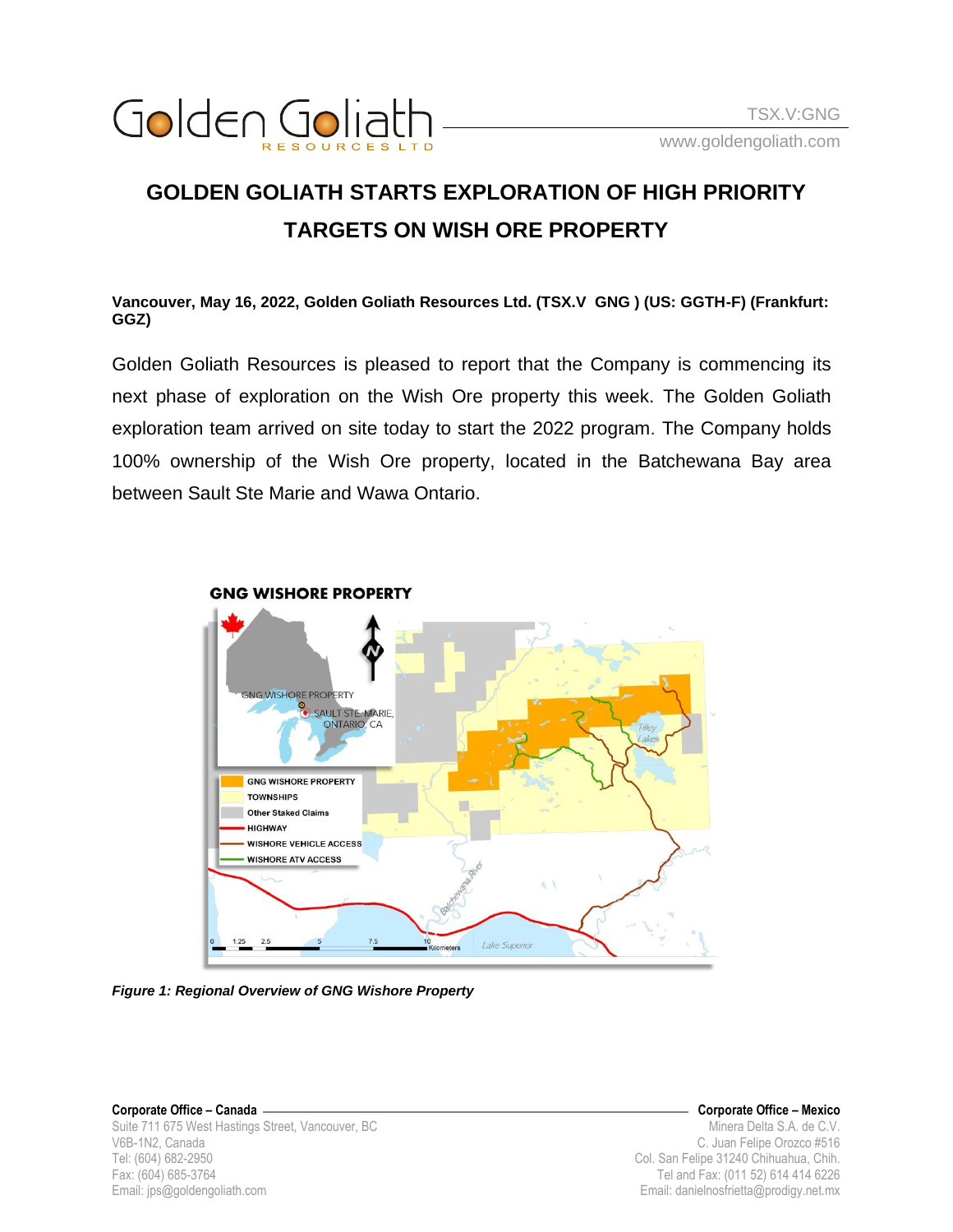

## **GOLDEN GOLIATH STARTS EXPLORATION OF HIGH PRIORITY TARGETS ON WISH ORE PROPERTY**

**Vancouver, May 16, 2022, Golden Goliath Resources Ltd. (TSX.V GNG ) (US: GGTH-F) (Frankfurt: GGZ)**

Golden Goliath Resources is pleased to report that the Company is commencing its next phase of exploration on the Wish Ore property this week. The Golden Goliath exploration team arrived on site today to start the 2022 program. The Company holds 100% ownership of the Wish Ore property, located in the Batchewana Bay area between Sault Ste Marie and Wawa Ontario.



**GNG WISHORE PROPERTY** 

*Figure 1: Regional Overview of GNG Wishore Property*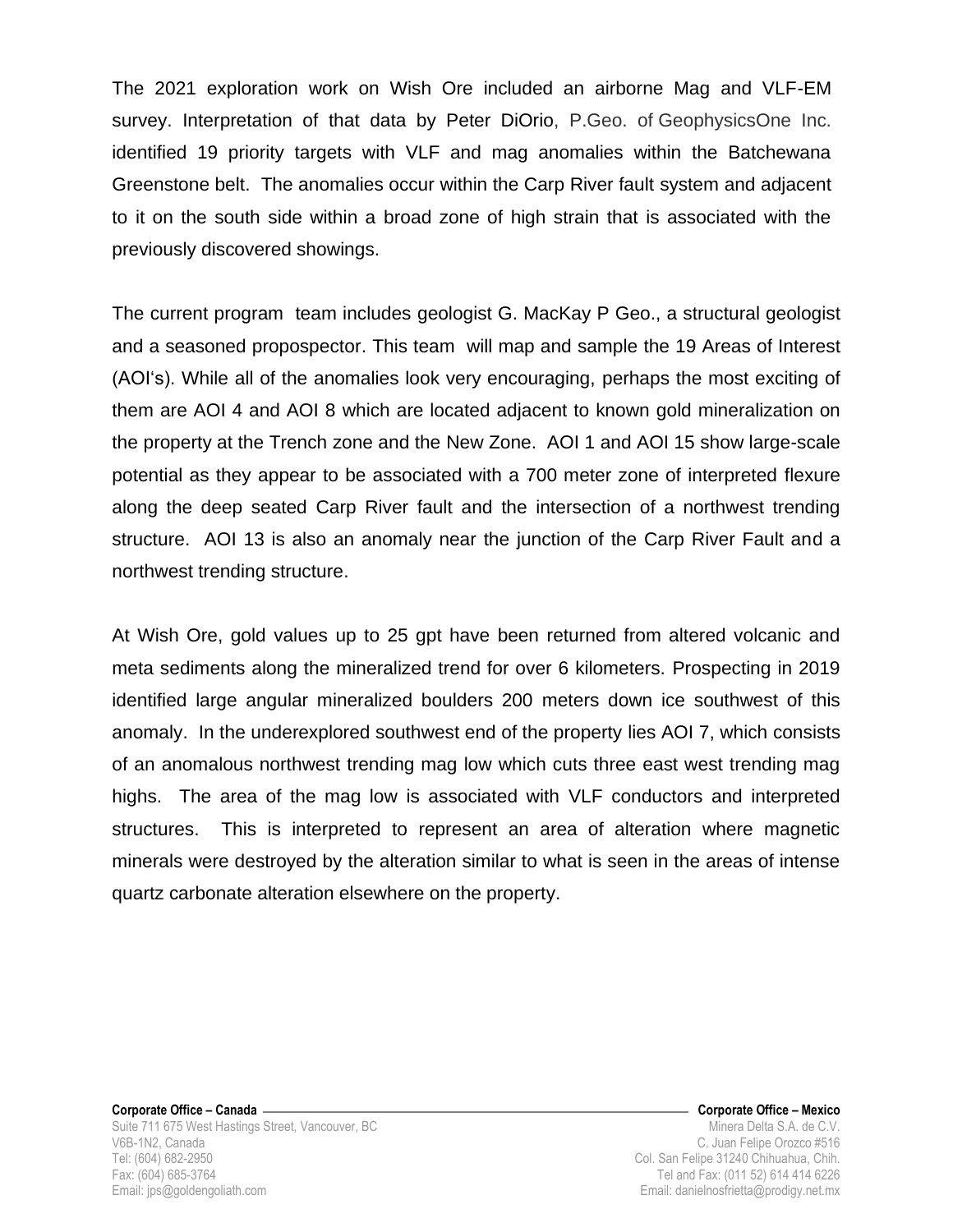The 2021 exploration work on Wish Ore included an airborne Mag and VLF-EM survey. Interpretation of that data by Peter DiOrio, P.Geo. of GeophysicsOne Inc. identified 19 priority targets with VLF and mag anomalies within the Batchewana Greenstone belt. The anomalies occur within the Carp River fault system and adjacent to it on the south side within a broad zone of high strain that is associated with the previously discovered showings.

The current program team includes geologist G. MacKay P Geo., a structural geologist and a seasoned propospector. This team will map and sample the 19 Areas of Interest (AOIʻs). While all of the anomalies look very encouraging, perhaps the most exciting of them are AOI 4 and AOI 8 which are located adjacent to known gold mineralization on the property at the Trench zone and the New Zone. AOI 1 and AOI 15 show large-scale potential as they appear to be associated with a 700 meter zone of interpreted flexure along the deep seated Carp River fault and the intersection of a northwest trending structure. AOI 13 is also an anomaly near the junction of the Carp River Fault and a northwest trending structure.

At Wish Ore, gold values up to 25 gpt have been returned from altered volcanic and meta sediments along the mineralized trend for over 6 kilometers. Prospecting in 2019 identified large angular mineralized boulders 200 meters down ice southwest of this anomaly. In the underexplored southwest end of the property lies AOI 7, which consists of an anomalous northwest trending mag low which cuts three east west trending mag highs. The area of the mag low is associated with VLF conductors and interpreted structures. This is interpreted to represent an area of alteration where magnetic minerals were destroyed by the alteration similar to what is seen in the areas of intense quartz carbonate alteration elsewhere on the property.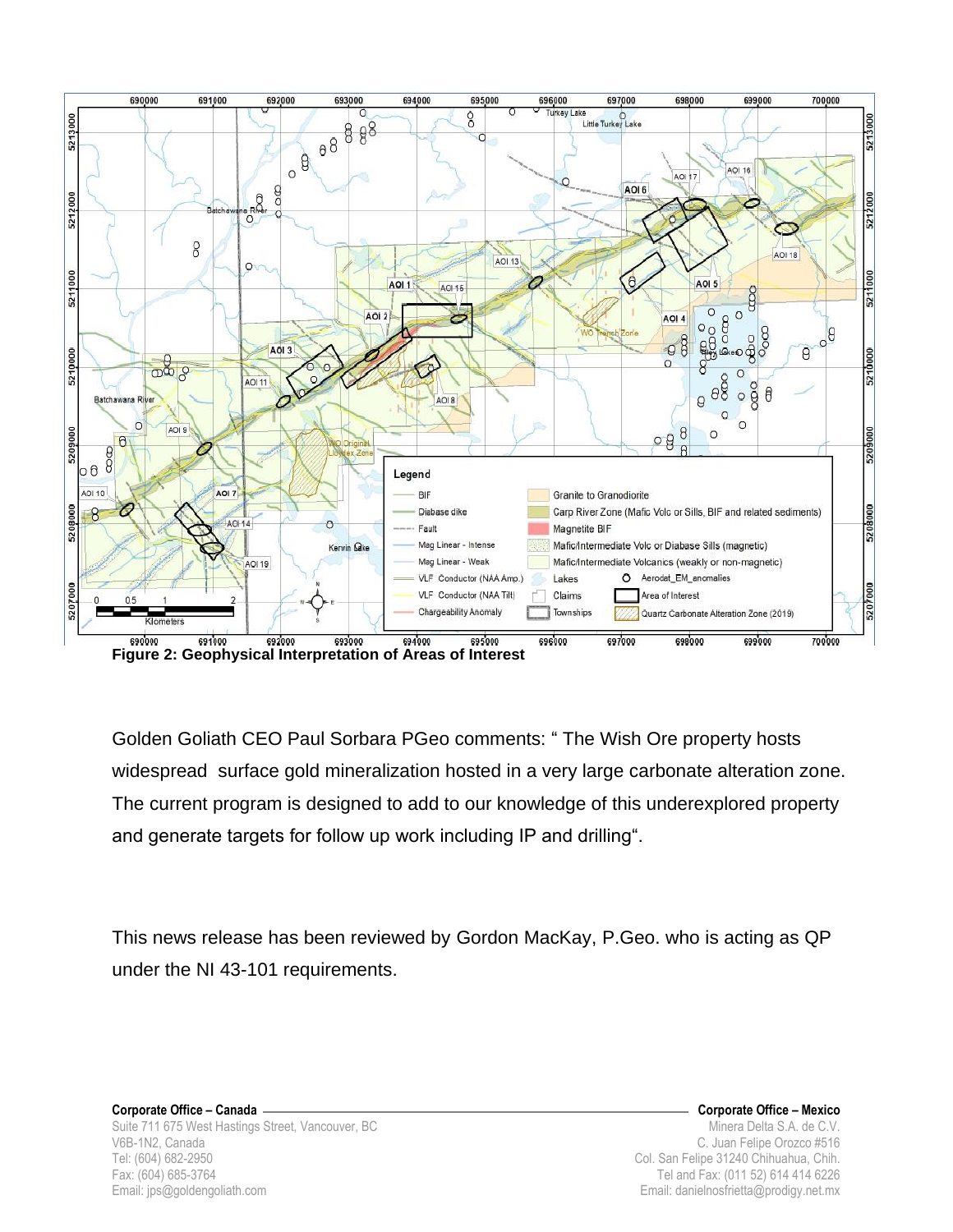

Golden Goliath CEO Paul Sorbara PGeo comments: " The Wish Ore property hosts widespread surface gold mineralization hosted in a very large carbonate alteration zone. The current program is designed to add to our knowledge of this underexplored property and generate targets for follow up work including IP and drilling".

This news release has been reviewed by Gordon MacKay, P.Geo. who is acting as QP under the NI 43-101 requirements.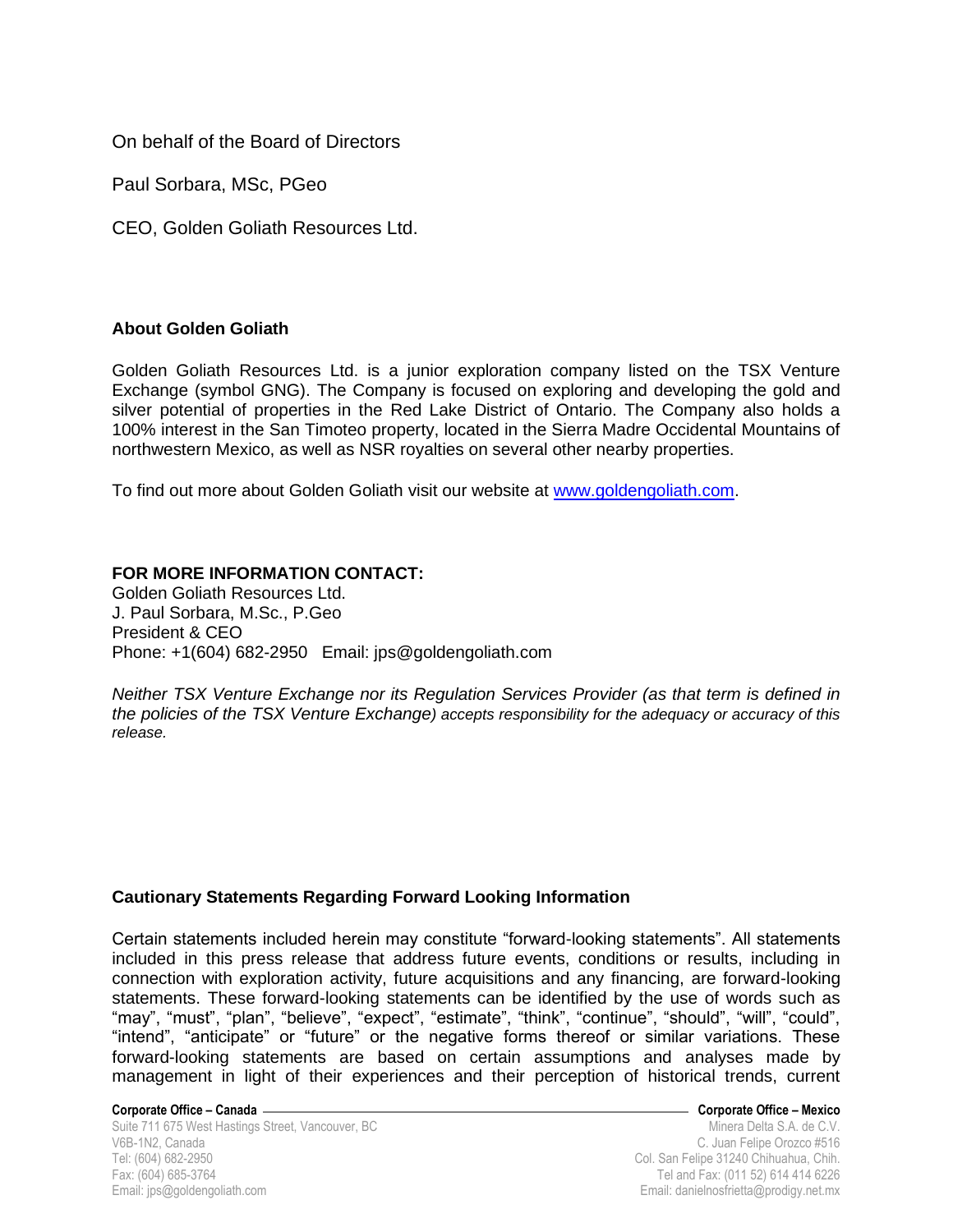On behalf of the Board of Directors

Paul Sorbara, MSc, PGeo

CEO, Golden Goliath Resources Ltd.

## **About Golden Goliath**

Golden Goliath Resources Ltd. is a junior exploration company listed on the TSX Venture Exchange (symbol GNG). The Company is focused on exploring and developing the gold and silver potential of properties in the Red Lake District of Ontario. The Company also holds a 100% interest in the San Timoteo property, located in the Sierra Madre Occidental Mountains of northwestern Mexico, as well as NSR royalties on several other nearby properties.

To find out more about Golden Goliath visit our website at [www.goldengoliath.com.](http://www.goldengoliath.com/)

## **FOR MORE INFORMATION CONTACT:**

Golden Goliath Resources Ltd. J. Paul Sorbara, M.Sc., P.Geo President & CEO Phone: +1(604) 682-2950 Email: jps@goldengoliath.com

*Neither TSX Venture Exchange nor its Regulation Services Provider (as that term is defined in the policies of the TSX Venture Exchange) accepts responsibility for the adequacy or accuracy of this release.*

## **Cautionary Statements Regarding Forward Looking Information**

Certain statements included herein may constitute "forward-looking statements". All statements included in this press release that address future events, conditions or results, including in connection with exploration activity, future acquisitions and any financing, are forward-looking statements. These forward-looking statements can be identified by the use of words such as "may", "must", "plan", "believe", "expect", "estimate", "think", "continue", "should", "will", "could", "intend", "anticipate" or "future" or the negative forms thereof or similar variations. These forward-looking statements are based on certain assumptions and analyses made by management in light of their experiences and their perception of historical trends, current